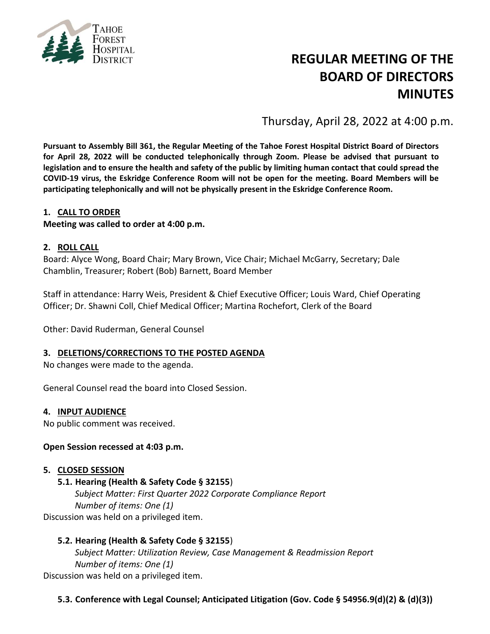

# **REGULAR MEETING OF THE BOARD OF DIRECTORS MINUTES**

Thursday, April 28, 2022 at 4:00 p.m.

**Pursuant to Assembly Bill 361, the Regular Meeting of the Tahoe Forest Hospital District Board of Directors for April 28, 2022 will be conducted telephonically through Zoom. Please be advised that pursuant to legislation and to ensure the health and safety of the public by limiting human contact that could spread the COVID-19 virus, the Eskridge Conference Room will not be open for the meeting. Board Members will be participating telephonically and will not be physically present in the Eskridge Conference Room.**

#### **1. CALL TO ORDER**

#### **Meeting was called to order at 4:00 p.m.**

#### **2. ROLL CALL**

Board: Alyce Wong, Board Chair; Mary Brown, Vice Chair; Michael McGarry, Secretary; Dale Chamblin, Treasurer; Robert (Bob) Barnett, Board Member

Staff in attendance: Harry Weis, President & Chief Executive Officer; Louis Ward, Chief Operating Officer; Dr. Shawni Coll, Chief Medical Officer; Martina Rochefort, Clerk of the Board

Other: David Ruderman, General Counsel

#### **3. DELETIONS/CORRECTIONS TO THE POSTED AGENDA**

No changes were made to the agenda.

General Counsel read the board into Closed Session.

#### **4. INPUT AUDIENCE**

No public comment was received.

#### **Open Session recessed at 4:03 p.m.**

#### **5. CLOSED SESSION**

#### **5.1. Hearing (Health & Safety Code § 32155**)

*Subject Matter: First Quarter 2022 Corporate Compliance Report Number of items: One (1)* Discussion was held on a privileged item.

**5.2. Hearing (Health & Safety Code § 32155**)

*Subject Matter: Utilization Review, Case Management & Readmission Report Number of items: One (1)* Discussion was held on a privileged item.

**5.3. Conference with Legal Counsel; Anticipated Litigation (Gov. Code § 54956.9(d)(2) & (d)(3))**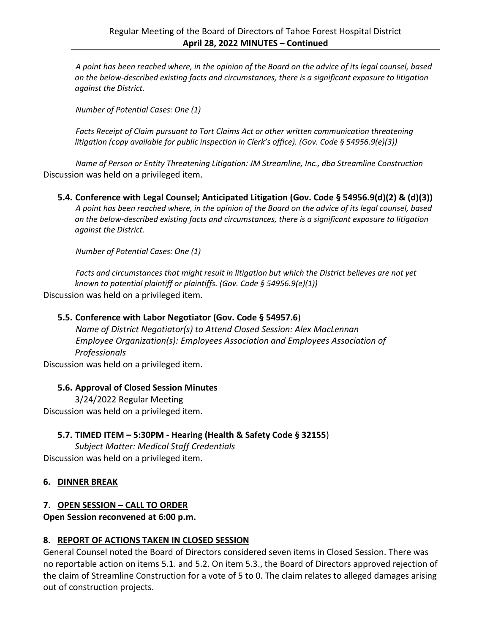*A point has been reached where, in the opinion of the Board on the advice of its legal counsel, based on the below-described existing facts and circumstances, there is a significant exposure to litigation against the District.*

*Number of Potential Cases: One (1)*

*Facts Receipt of Claim pursuant to Tort Claims Act or other written communication threatening litigation (copy available for public inspection in Clerk's office). (Gov. Code § 54956.9(e)(3))*

*Name of Person or Entity Threatening Litigation: JM Streamline, Inc., dba Streamline Construction* Discussion was held on a privileged item.

**5.4. Conference with Legal Counsel; Anticipated Litigation (Gov. Code § 54956.9(d)(2) & (d)(3))** *A point has been reached where, in the opinion of the Board on the advice of its legal counsel, based on the below-described existing facts and circumstances, there is a significant exposure to litigation against the District.*

*Number of Potential Cases: One (1)*

*Facts and circumstances that might result in litigation but which the District believes are not yet known to potential plaintiff or plaintiffs. (Gov. Code § 54956.9(e)(1))* Discussion was held on a privileged item.

#### **5.5. Conference with Labor Negotiator (Gov. Code § 54957.6**)

*Name of District Negotiator(s) to Attend Closed Session: Alex MacLennan Employee Organization(s): Employees Association and Employees Association of Professionals*

Discussion was held on a privileged item.

#### **5.6. Approval of Closed Session Minutes**

3/24/2022 Regular Meeting Discussion was held on a privileged item.

#### **5.7. TIMED ITEM – 5:30PM - Hearing (Health & Safety Code § 32155**)

*Subject Matter: Medical Staff Credentials* Discussion was held on a privileged item.

#### **6. DINNER BREAK**

## **7. OPEN SESSION – CALL TO ORDER**

**Open Session reconvened at 6:00 p.m.**

#### **8. REPORT OF ACTIONS TAKEN IN CLOSED SESSION**

General Counsel noted the Board of Directors considered seven items in Closed Session. There was no reportable action on items 5.1. and 5.2. On item 5.3., the Board of Directors approved rejection of the claim of Streamline Construction for a vote of 5 to 0. The claim relates to alleged damages arising out of construction projects.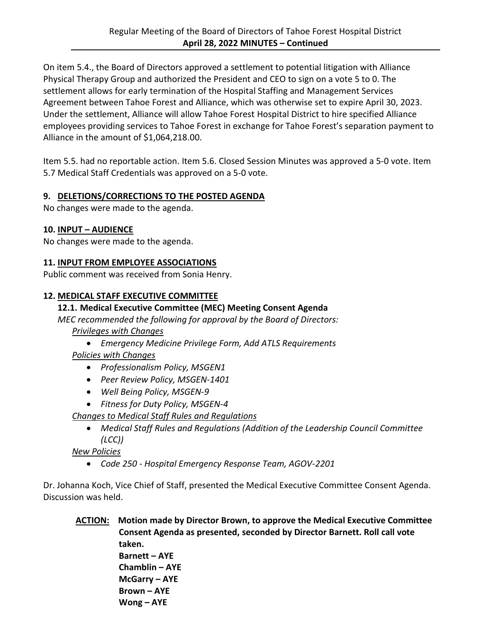On item 5.4., the Board of Directors approved a settlement to potential litigation with Alliance Physical Therapy Group and authorized the President and CEO to sign on a vote 5 to 0. The settlement allows for early termination of the Hospital Staffing and Management Services Agreement between Tahoe Forest and Alliance, which was otherwise set to expire April 30, 2023. Under the settlement, Alliance will allow Tahoe Forest Hospital District to hire specified Alliance employees providing services to Tahoe Forest in exchange for Tahoe Forest's separation payment to Alliance in the amount of \$1,064,218.00.

Item 5.5. had no reportable action. Item 5.6. Closed Session Minutes was approved a 5-0 vote. Item 5.7 Medical Staff Credentials was approved on a 5-0 vote.

## **9. DELETIONS/CORRECTIONS TO THE POSTED AGENDA**

No changes were made to the agenda.

#### **10. INPUT – AUDIENCE**

No changes were made to the agenda.

## **11. INPUT FROM EMPLOYEE ASSOCIATIONS**

Public comment was received from Sonia Henry.

#### **12. MEDICAL STAFF EXECUTIVE COMMITTEE**

#### **12.1. Medical Executive Committee (MEC) Meeting Consent Agenda**

*MEC recommended the following for approval by the Board of Directors:* 

## *Privileges with Changes*

*Emergency Medicine Privilege Form, Add ATLS Requirements*

*Policies with Changes*

- *Professionalism Policy, MSGEN1*
- *Peer Review Policy, MSGEN-1401*
- *Well Being Policy, MSGEN-9*
- *Fitness for Duty Policy, MSGEN-4*

*Changes to Medical Staff Rules and Regulations*

 *Medical Staff Rules and Regulations (Addition of the Leadership Council Committee (LCC))*

*New Policies*

*Code 250 - Hospital Emergency Response Team, AGOV-2201*

Dr. Johanna Koch, Vice Chief of Staff, presented the Medical Executive Committee Consent Agenda. Discussion was held.

**ACTION: Motion made by Director Brown, to approve the Medical Executive Committee Consent Agenda as presented, seconded by Director Barnett. Roll call vote taken. Barnett – AYE Chamblin – AYE McGarry – AYE Brown – AYE**

**Wong – AYE**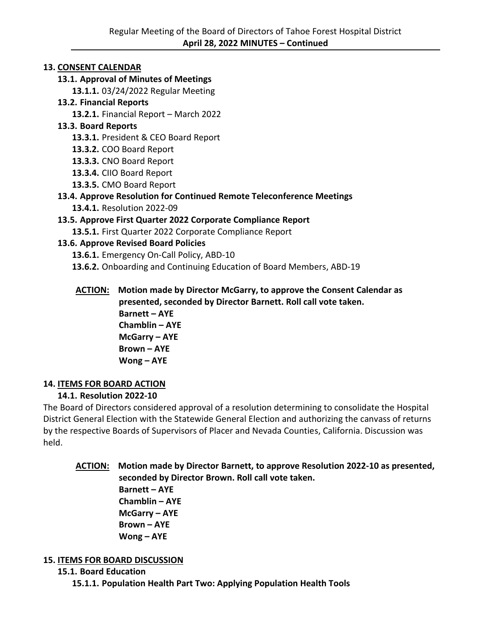## **13. CONSENT CALENDAR**

## **13.1. Approval of Minutes of Meetings**

**13.1.1.** 03/24/2022 Regular Meeting

## **13.2. Financial Reports**

**13.2.1.** Financial Report – March 2022

## **13.3. Board Reports**

**13.3.1.** President & CEO Board Report

**13.3.2.** COO Board Report

**13.3.3.** CNO Board Report

**13.3.4.** CIIO Board Report

**13.3.5.** CMO Board Report

## **13.4. Approve Resolution for Continued Remote Teleconference Meetings**

**13.4.1.** Resolution 2022-09

## **13.5. Approve First Quarter 2022 Corporate Compliance Report**

**13.5.1.** First Quarter 2022 Corporate Compliance Report

## **13.6. Approve Revised Board Policies**

**13.6.1.** Emergency On-Call Policy, ABD-10

**13.6.2.** Onboarding and Continuing Education of Board Members, ABD-19

**ACTION: Motion made by Director McGarry, to approve the Consent Calendar as presented, seconded by Director Barnett. Roll call vote taken. Barnett – AYE Chamblin – AYE McGarry – AYE Brown – AYE Wong – AYE**

# **14. ITEMS FOR BOARD ACTION**

# **14.1. Resolution 2022-10**

The Board of Directors considered approval of a resolution determining to consolidate the Hospital District General Election with the Statewide General Election and authorizing the canvass of returns by the respective Boards of Supervisors of Placer and Nevada Counties, California. Discussion was held.

# **ACTION: Motion made by Director Barnett, to approve Resolution 2022-10 as presented, seconded by Director Brown. Roll call vote taken.**

**Barnett – AYE Chamblin – AYE McGarry – AYE Brown – AYE Wong – AYE**

## **15. ITEMS FOR BOARD DISCUSSION**

**15.1. Board Education 15.1.1. Population Health Part Two: Applying Population Health Tools**